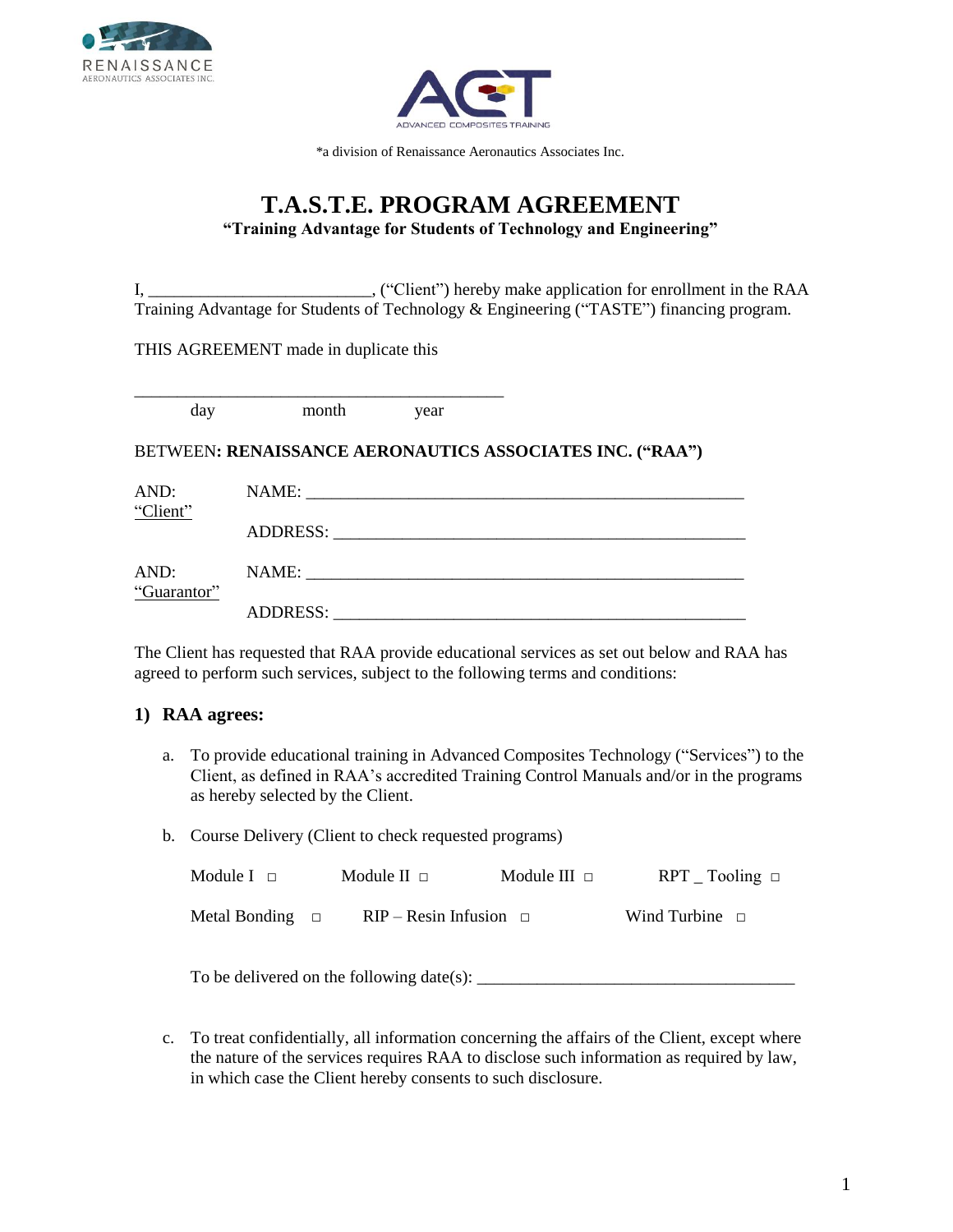



\*a division of Renaissance Aeronautics Associates Inc.

## **T.A.S.T.E. PROGRAM AGREEMENT "Training Advantage for Students of Technology and Engineering"**

I, \_\_\_\_\_\_\_\_\_\_\_\_\_\_\_\_\_\_\_\_\_\_\_\_\_\_, ("Client") hereby make application for enrollment in the RAA Training Advantage for Students of Technology & Engineering ("TASTE") financing program.

THIS AGREEMENT made in duplicate this

\_\_\_\_\_\_\_\_\_\_\_\_\_\_\_\_\_\_\_\_\_\_\_\_\_\_\_\_\_\_\_\_\_\_\_\_\_\_\_\_\_\_\_ day month year

#### BETWEEN**: RENAISSANCE AERONAUTICS ASSOCIATES INC. ("RAA")**

| AND:                | NAME:                                                                                                                 |
|---------------------|-----------------------------------------------------------------------------------------------------------------------|
| "Client"            | ADDRESS:                                                                                                              |
|                     | <u> 1980 - Jan Barbara, manazarta da basar da a shekara 1980 a shekara 1981 a shekara 1981 a shekara 1981 a sheka</u> |
| AND:<br>"Guarantor" | NAME:<br><u> 1980 - Jan Stein Berlin, Amerikaansk politiker (</u>                                                     |
|                     | <b>ADDRESS:</b>                                                                                                       |

The Client has requested that RAA provide educational services as set out below and RAA has agreed to perform such services, subject to the following terms and conditions:

### **1) RAA agrees:**

- a. To provide educational training in Advanced Composites Technology ("Services") to the Client, as defined in RAA's accredited Training Control Manuals and/or in the programs as hereby selected by the Client.
- b. Course Delivery (Client to check requested programs)

| Module $I \square$   | Module II $\Box$               | Module III $\Box$ | $RPT$ Tooling $\Box$ |  |
|----------------------|--------------------------------|-------------------|----------------------|--|
| Metal Bonding $\Box$ | $RIP - Resin Infusion \square$ |                   | Wind Turbine $\Box$  |  |

To be delivered on the following date(s):

c. To treat confidentially, all information concerning the affairs of the Client, except where the nature of the services requires RAA to disclose such information as required by law, in which case the Client hereby consents to such disclosure.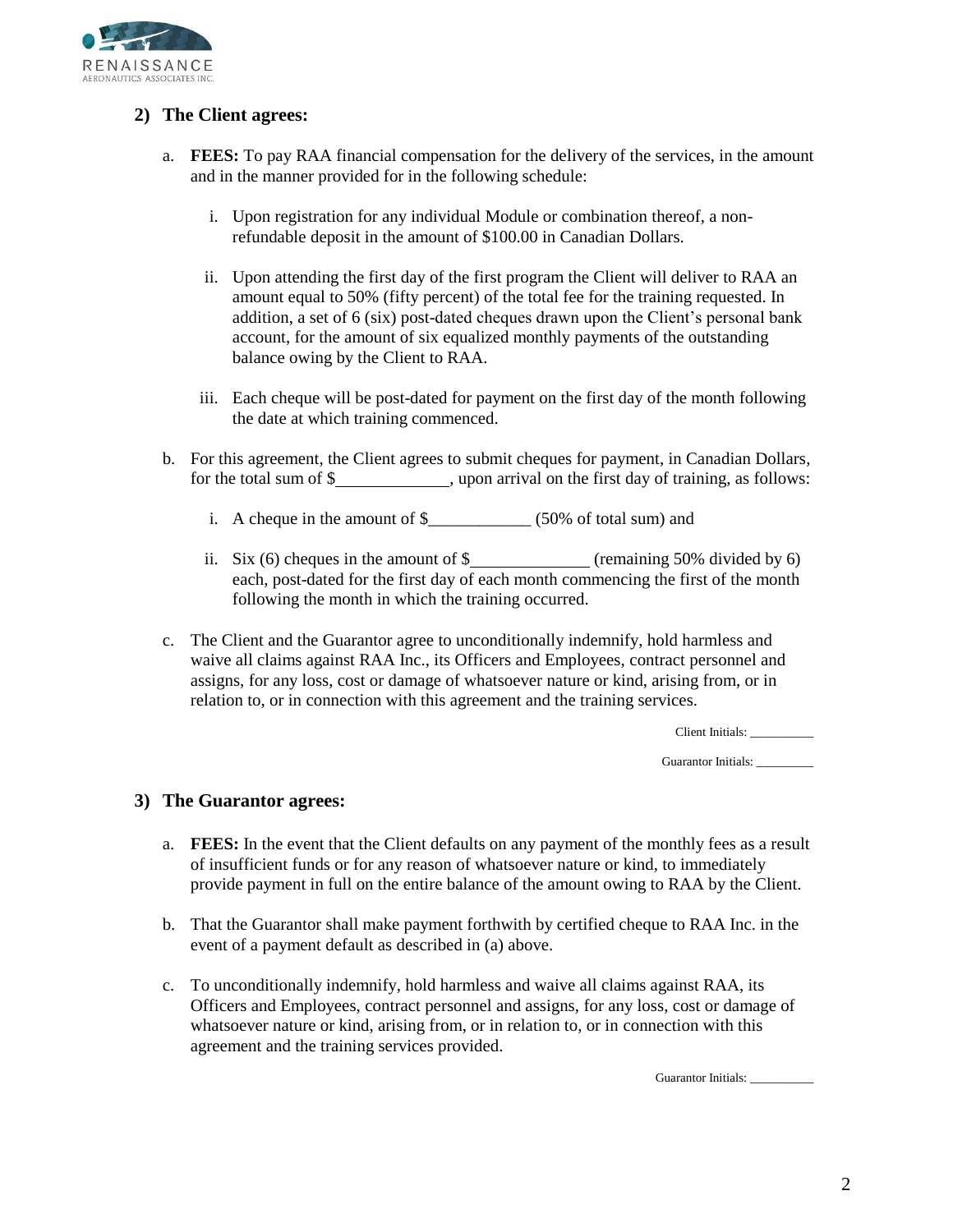

### **2) The Client agrees:**

- a. **FEES:** To pay RAA financial compensation for the delivery of the services, in the amount and in the manner provided for in the following schedule:
	- i. Upon registration for any individual Module or combination thereof, a nonrefundable deposit in the amount of \$100.00 in Canadian Dollars.
	- ii. Upon attending the first day of the first program the Client will deliver to RAA an amount equal to 50% (fifty percent) of the total fee for the training requested. In addition, a set of 6 (six) post-dated cheques drawn upon the Client's personal bank account, for the amount of six equalized monthly payments of the outstanding balance owing by the Client to RAA.
	- iii. Each cheque will be post-dated for payment on the first day of the month following the date at which training commenced.
- b. For this agreement, the Client agrees to submit cheques for payment, in Canadian Dollars, for the total sum of \$
	- i. A cheque in the amount of \$\_\_\_\_\_\_\_\_\_\_\_\_ (50% of total sum) and
	- ii. Six  $(6)$  cheques in the amount of  $\frac{8}{2}$  (remaining 50% divided by 6) each, post-dated for the first day of each month commencing the first of the month following the month in which the training occurred.
- c. The Client and the Guarantor agree to unconditionally indemnify, hold harmless and waive all claims against RAA Inc., its Officers and Employees, contract personnel and assigns, for any loss, cost or damage of whatsoever nature or kind, arising from, or in relation to, or in connection with this agreement and the training services.

Client Initials: \_\_\_\_\_\_\_\_\_\_

Guarantor Initials: \_\_\_\_\_\_\_\_

### **3) The Guarantor agrees:**

- a. **FEES:** In the event that the Client defaults on any payment of the monthly fees as a result of insufficient funds or for any reason of whatsoever nature or kind, to immediately provide payment in full on the entire balance of the amount owing to RAA by the Client.
- b. That the Guarantor shall make payment forthwith by certified cheque to RAA Inc. in the event of a payment default as described in (a) above.
- c. To unconditionally indemnify, hold harmless and waive all claims against RAA, its Officers and Employees, contract personnel and assigns, for any loss, cost or damage of whatsoever nature or kind, arising from, or in relation to, or in connection with this agreement and the training services provided.

Guarantor Initials: \_\_\_\_\_\_\_\_\_\_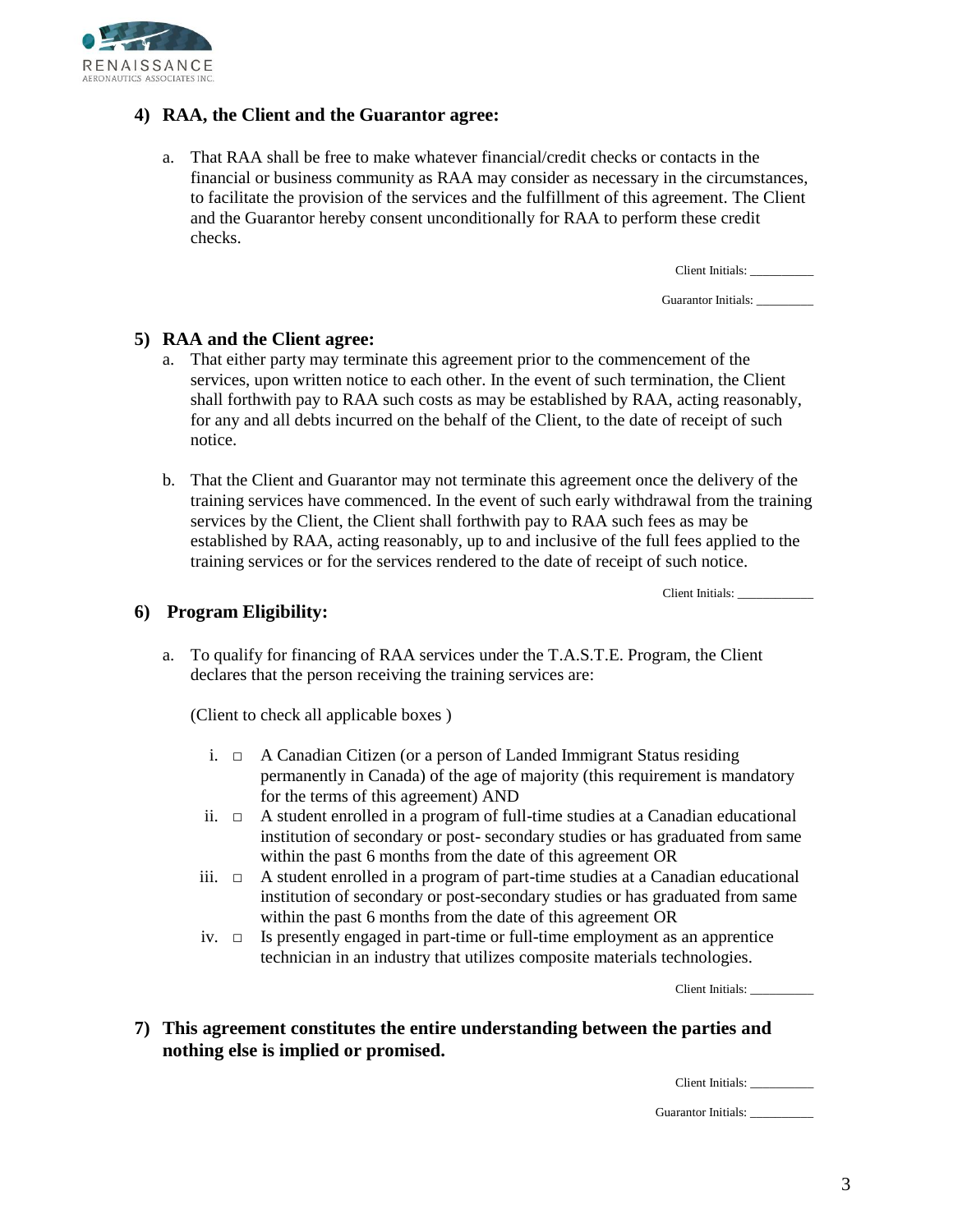

### **4) RAA, the Client and the Guarantor agree:**

a. That RAA shall be free to make whatever financial/credit checks or contacts in the financial or business community as RAA may consider as necessary in the circumstances, to facilitate the provision of the services and the fulfillment of this agreement. The Client and the Guarantor hereby consent unconditionally for RAA to perform these credit checks.

Client Initials: \_\_\_\_\_\_\_\_\_\_

Guarantor Initials:

#### **5) RAA and the Client agree:**

- a. That either party may terminate this agreement prior to the commencement of the services, upon written notice to each other. In the event of such termination, the Client shall forthwith pay to RAA such costs as may be established by RAA, acting reasonably, for any and all debts incurred on the behalf of the Client, to the date of receipt of such notice.
- b. That the Client and Guarantor may not terminate this agreement once the delivery of the training services have commenced. In the event of such early withdrawal from the training services by the Client, the Client shall forthwith pay to RAA such fees as may be established by RAA, acting reasonably, up to and inclusive of the full fees applied to the training services or for the services rendered to the date of receipt of such notice.

Client Initials:

#### **6) Program Eligibility:**

a. To qualify for financing of RAA services under the T.A.S.T.E. Program, the Client declares that the person receiving the training services are:

(Client to check all applicable boxes )

- i.  $\Box$  A Canadian Citizen (or a person of Landed Immigrant Status residing permanently in Canada) of the age of majority (this requirement is mandatory for the terms of this agreement) AND
- ii.  $\Box$  A student enrolled in a program of full-time studies at a Canadian educational institution of secondary or post- secondary studies or has graduated from same within the past 6 months from the date of this agreement OR
- iii.  $\Box$  A student enrolled in a program of part-time studies at a Canadian educational institution of secondary or post-secondary studies or has graduated from same within the past 6 months from the date of this agreement OR
- iv.  $\Box$  Is presently engaged in part-time or full-time employment as an apprentice technician in an industry that utilizes composite materials technologies.

Client Initials:

**7) This agreement constitutes the entire understanding between the parties and nothing else is implied or promised.**

Client Initials:

Guarantor Initials: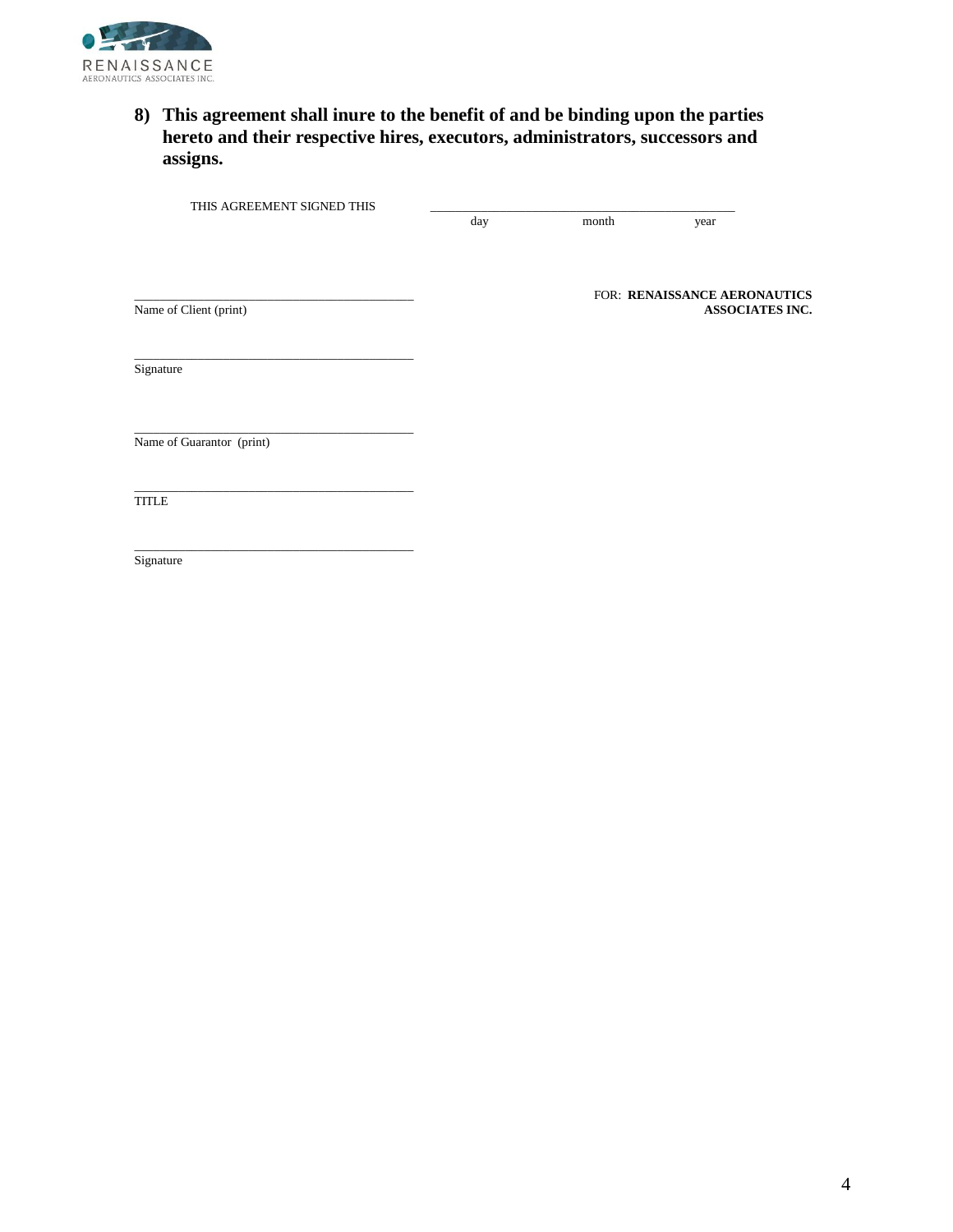

### **8) This agreement shall inure to the benefit of and be binding upon the parties hereto and their respective hires, executors, administrators, successors and assigns.**

THIS AGREEMENT SIGNED THIS

\_\_\_\_\_\_\_\_\_\_\_\_\_\_\_\_\_\_\_\_\_\_\_\_\_\_\_\_\_\_\_\_\_\_\_\_\_\_\_\_\_\_\_\_

\_\_\_\_\_\_\_\_\_\_\_\_\_\_\_\_\_\_\_\_\_\_\_\_\_\_\_\_\_\_\_\_\_\_\_\_\_\_\_\_\_\_\_\_

\_\_\_\_\_\_\_\_\_\_\_\_\_\_\_\_\_\_\_\_\_\_\_\_\_\_\_\_\_\_\_\_\_\_\_\_\_\_\_\_\_\_\_\_

day month year

**Name of Client (print)** 

FOR: RENAISSANCE AERONAUTICS<br>ASSOCIATES INC.

**Signature** 

Name of Guarantor (print)

\_\_\_\_\_\_\_\_\_\_\_\_\_\_\_\_\_\_\_\_\_\_\_\_\_\_\_\_\_\_\_\_\_\_\_\_\_\_\_\_\_\_\_\_ **TITLE** 

Signature